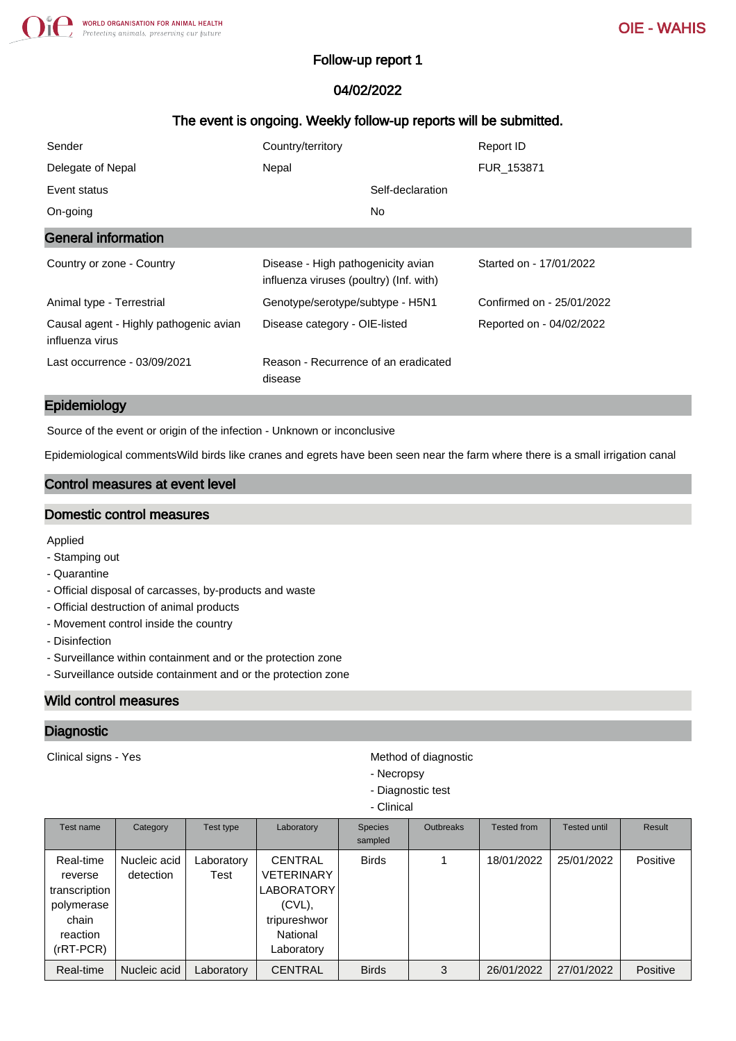## Follow-up report 1

# 04/02/2022

# The event is ongoing. Weekly follow-up reports will be submitted.

| Sender                                                    | Country/territory                                                             | Report ID                 |
|-----------------------------------------------------------|-------------------------------------------------------------------------------|---------------------------|
| Delegate of Nepal                                         | Nepal                                                                         | FUR 153871                |
| Event status                                              | Self-declaration                                                              |                           |
| On-going                                                  | No.                                                                           |                           |
| <b>General information</b>                                |                                                                               |                           |
| Country or zone - Country                                 | Disease - High pathogenicity avian<br>influenza viruses (poultry) (Inf. with) | Started on - 17/01/2022   |
| Animal type - Terrestrial                                 | Genotype/serotype/subtype - H5N1                                              | Confirmed on - 25/01/2022 |
| Causal agent - Highly pathogenic avian<br>influenza virus | Disease category - OIE-listed                                                 | Reported on - 04/02/2022  |
| Last occurrence - 03/09/2021                              | Reason - Recurrence of an eradicated<br>disease                               |                           |

#### Epidemiology

Source of the event or origin of the infection - Unknown or inconclusive

Epidemiological commentsWild birds like cranes and egrets have been seen near the farm where there is a small irrigation canal

## Control measures at event level

#### Domestic control measures

Applied

- Stamping out
- Quarantine
- Official disposal of carcasses, by-products and waste
- Official destruction of animal products
- Movement control inside the country
- Disinfection
- Surveillance within containment and or the protection zone
- Surveillance outside containment and or the protection zone

## Wild control measures

#### **Diagnostic**

Clinical signs - Yes **Method of diagnostic** Method of diagnostic

- Necropsy
- Diagnostic test
- Clinical

| Test name                                                                               | Category                  | Test type          | Laboratory                                                                                                      | <b>Species</b><br>sampled | <b>Outbreaks</b> | <b>Tested from</b> | <b>Tested until</b> | Result   |
|-----------------------------------------------------------------------------------------|---------------------------|--------------------|-----------------------------------------------------------------------------------------------------------------|---------------------------|------------------|--------------------|---------------------|----------|
| Real-time<br>reverse<br>transcription<br>polymerase<br>chain<br>reaction<br>$(rRT-PCR)$ | Nucleic acid<br>detection | Laboratory<br>Test | <b>CENTRAL</b><br><b>VETERINARY</b><br><b>LABORATORY</b><br>$(CVL)$ ,<br>tripureshwor<br>National<br>Laboratory | <b>Birds</b>              |                  | 18/01/2022         | 25/01/2022          | Positive |
| Real-time                                                                               | Nucleic acid              | Laboratory         | <b>CENTRAL</b>                                                                                                  | <b>Birds</b>              | 3                | 26/01/2022         | 27/01/2022          | Positive |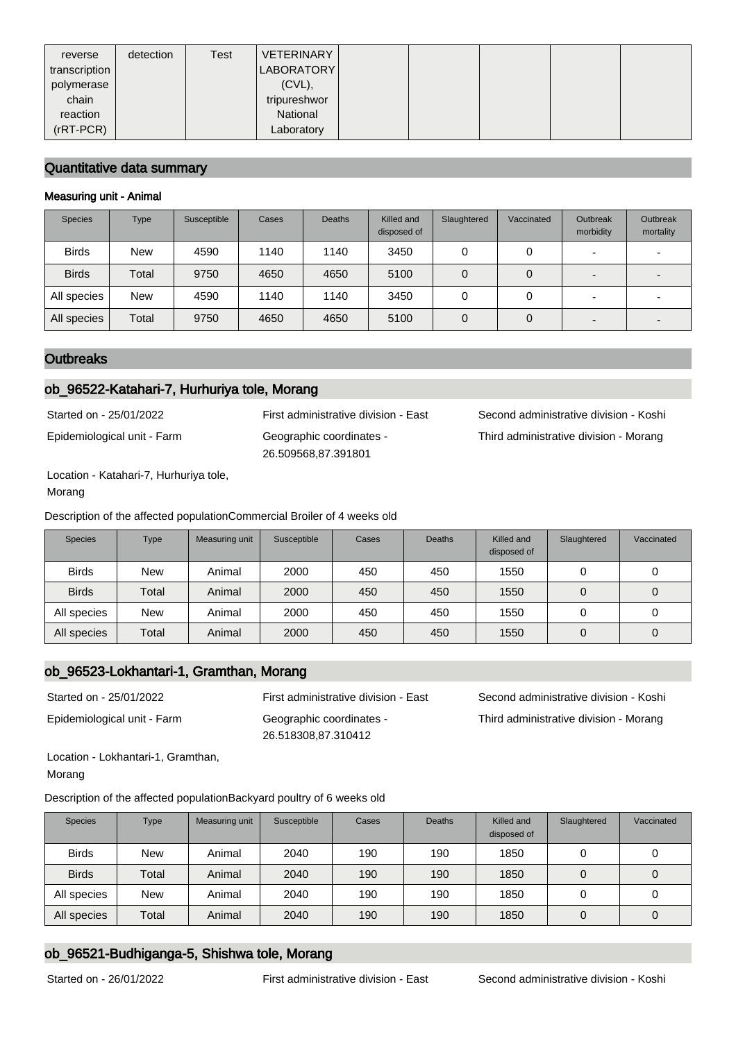| reverse       | detection | Test | <b>VETERINARY</b> |  |  |  |
|---------------|-----------|------|-------------------|--|--|--|
| transcription |           |      | LABORATORY        |  |  |  |
| polymerase    |           |      | $(CVL)$ ,         |  |  |  |
| chain         |           |      | tripureshwor      |  |  |  |
| reaction      |           |      | National          |  |  |  |
| $(rRT-PCR)$   |           |      | Laboratory        |  |  |  |

### Quantitative data summary

#### Measuring unit - Animal

| <b>Species</b> | <b>Type</b> | Susceptible | Cases | <b>Deaths</b> | Killed and<br>disposed of | Slaughtered | Vaccinated | Outbreak<br>morbidity    | Outbreak<br>mortality |
|----------------|-------------|-------------|-------|---------------|---------------------------|-------------|------------|--------------------------|-----------------------|
| <b>Birds</b>   | <b>New</b>  | 4590        | 1140  | 1140          | 3450                      | 0           | 0          | $\overline{\phantom{0}}$ |                       |
| <b>Birds</b>   | Total       | 9750        | 4650  | 4650          | 5100                      | 0           | 0          | $\overline{\phantom{0}}$ |                       |
| All species    | <b>New</b>  | 4590        | 1140  | 1140          | 3450                      |             | 0          | $\overline{\phantom{0}}$ |                       |
| All species    | Total       | 9750        | 4650  | 4650          | 5100                      | 0           | 0          | $\overline{\phantom{0}}$ |                       |

### **Outbreaks**

### ob\_96522-Katahari-7, Hurhuriya tole, Morang

Epidemiological unit - Farm Geographic coordinates -

26.509568,87.391801

Started on - 25/01/2022 First administrative division - East Second administrative division - Koshi Third administrative division - Morang

Location - Katahari-7, Hurhuriya tole, Morang

Description of the affected populationCommercial Broiler of 4 weeks old

| <b>Species</b> | <b>Type</b> | Measuring unit | Susceptible | Cases | <b>Deaths</b> | Killed and<br>disposed of | Slaughtered | Vaccinated |
|----------------|-------------|----------------|-------------|-------|---------------|---------------------------|-------------|------------|
| <b>Birds</b>   | <b>New</b>  | Animal         | 2000        | 450   | 450           | 1550                      | 0           | u          |
| <b>Birds</b>   | Total       | Animal         | 2000        | 450   | 450           | 1550                      | 0           | 0          |
| All species    | <b>New</b>  | Animal         | 2000        | 450   | 450           | 1550                      | 0           | u          |
| All species    | Total       | Animal         | 2000        | 450   | 450           | 1550                      | 0           | 0          |

## ob\_96523-Lokhantari-1, Gramthan, Morang

Epidemiological unit - Farm Geographic coordinates - 26.518308,87.310412

Started on - 25/01/2022 First administrative division - East Second administrative division - Koshi Third administrative division - Morang

Location - Lokhantari-1, Gramthan, Morang

Description of the affected populationBackyard poultry of 6 weeks old

| <b>Species</b> | Type  | Measuring unit | Susceptible | Cases | <b>Deaths</b> | Killed and<br>disposed of | Slaughtered | Vaccinated |
|----------------|-------|----------------|-------------|-------|---------------|---------------------------|-------------|------------|
| <b>Birds</b>   | New   | Animal         | 2040        | 190   | 190           | 1850                      |             | O          |
| <b>Birds</b>   | Total | Animal         | 2040        | 190   | 190           | 1850                      |             | 0          |
| All species    | New   | Animal         | 2040        | 190   | 190           | 1850                      |             | U          |
| All species    | Total | Animal         | 2040        | 190   | 190           | 1850                      |             | 0          |

# ob\_96521-Budhiganga-5, Shishwa tole, Morang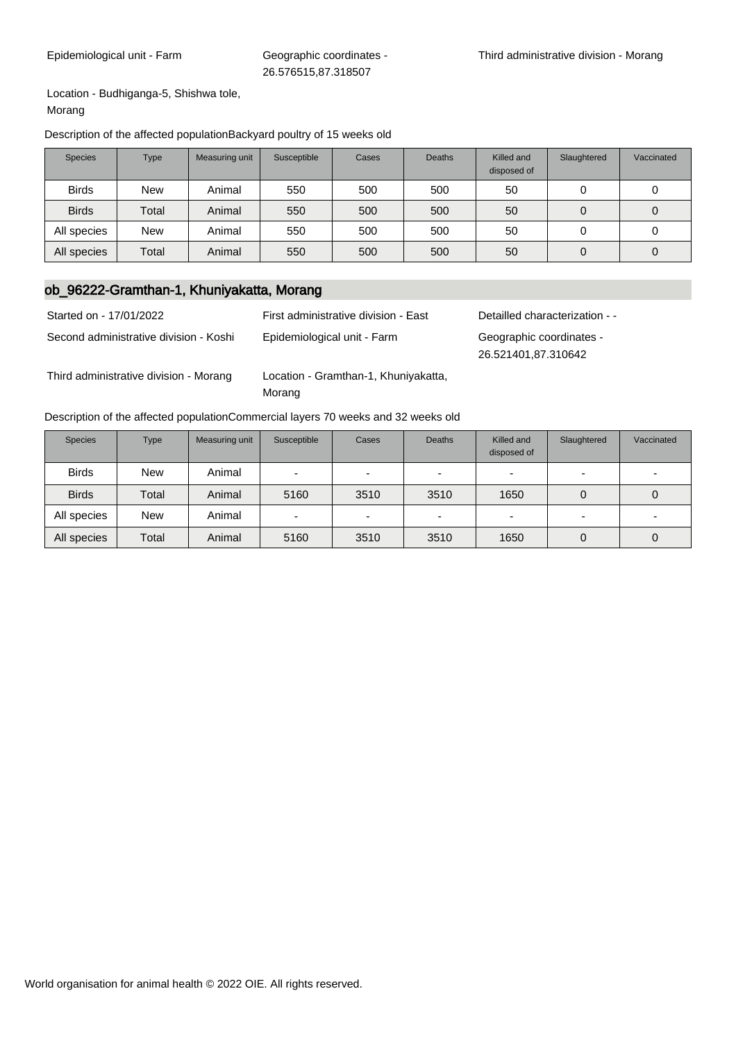Location - Budhiganga-5, Shishwa tole, Morang

#### Description of the affected populationBackyard poultry of 15 weeks old

| <b>Species</b> | Type       | Measuring unit | Susceptible | Cases | <b>Deaths</b> | Killed and<br>disposed of | Slaughtered | Vaccinated |
|----------------|------------|----------------|-------------|-------|---------------|---------------------------|-------------|------------|
| <b>Birds</b>   | <b>New</b> | Animal         | 550         | 500   | 500           | 50                        | 0           |            |
| <b>Birds</b>   | Total      | Animal         | 550         | 500   | 500           | 50                        | 0           |            |
| All species    | <b>New</b> | Animal         | 550         | 500   | 500           | 50                        | 0           | υ          |
| All species    | Total      | Animal         | 550         | 500   | 500           | 50                        | 0           | 0          |

# ob\_96222-Gramthan-1, Khuniyakatta, Morang

| Started on - 17/01/2022                | First administrative division - East           | Detailled characterization - -                  |
|----------------------------------------|------------------------------------------------|-------------------------------------------------|
| Second administrative division - Koshi | Epidemiological unit - Farm                    | Geographic coordinates -<br>26.521401,87.310642 |
| Third administrative division - Morang | Location - Gramthan-1, Khuniyakatta,<br>Morang |                                                 |

#### Description of the affected populationCommercial layers 70 weeks and 32 weeks old

| <b>Species</b> | <b>Type</b> | Measuring unit | Susceptible | Cases                    | <b>Deaths</b>            | Killed and<br>disposed of | Slaughtered | Vaccinated               |
|----------------|-------------|----------------|-------------|--------------------------|--------------------------|---------------------------|-------------|--------------------------|
| <b>Birds</b>   | <b>New</b>  | Animal         | -           | -                        | $\overline{\phantom{0}}$ | -                         |             | $\overline{\phantom{0}}$ |
| <b>Birds</b>   | Total       | Animal         | 5160        | 3510                     | 3510                     | 1650                      | 0           | 0                        |
| All species    | <b>New</b>  | Animal         | -           | $\overline{\phantom{0}}$ |                          |                           |             | $\overline{\phantom{0}}$ |
| All species    | Total       | Animal         | 5160        | 3510                     | 3510                     | 1650                      | 0           | 0                        |